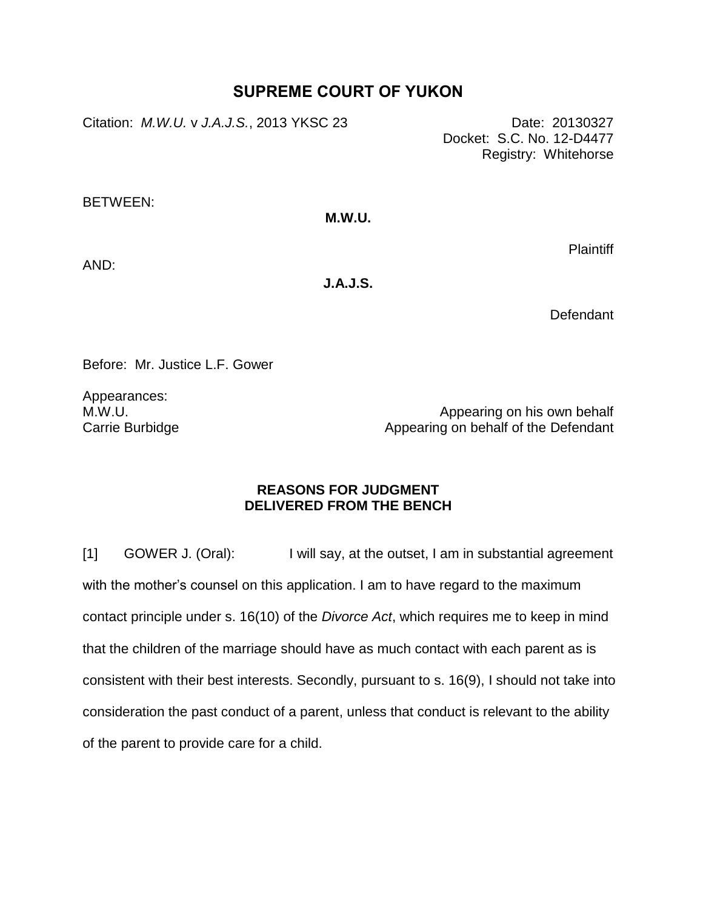## **SUPREME COURT OF YUKON**

Citation: *M.W.U.* v *J.A.J.S.*, 2013 YKSC 23 Date: 20130327

Docket: S.C. No. 12-D4477 Registry: Whitehorse

BETWEEN:

## **M.W.U.**

**Plaintiff** 

AND:

**J.A.J.S.**

**Defendant** 

Before: Mr. Justice L.F. Gower

Appearances: M.W.U. Carrie Burbidge

Appearing on his own behalf Appearing on behalf of the Defendant

## **REASONS FOR JUDGMENT DELIVERED FROM THE BENCH**

[1] GOWER J. (Oral): I will say, at the outset, I am in substantial agreement with the mother's counsel on this application. I am to have regard to the maximum contact principle under s. 16(10) of the *Divorce Act*, which requires me to keep in mind that the children of the marriage should have as much contact with each parent as is consistent with their best interests. Secondly, pursuant to s. 16(9), I should not take into consideration the past conduct of a parent, unless that conduct is relevant to the ability of the parent to provide care for a child.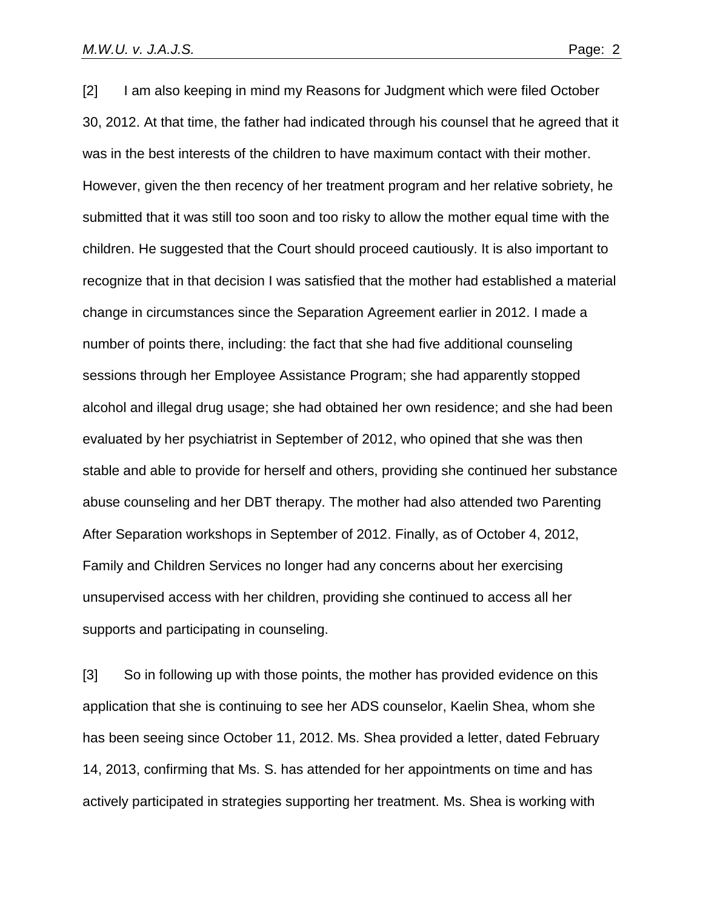[2] I am also keeping in mind my Reasons for Judgment which were filed October 30, 2012. At that time, the father had indicated through his counsel that he agreed that it was in the best interests of the children to have maximum contact with their mother. However, given the then recency of her treatment program and her relative sobriety, he submitted that it was still too soon and too risky to allow the mother equal time with the children. He suggested that the Court should proceed cautiously. It is also important to recognize that in that decision I was satisfied that the mother had established a material change in circumstances since the Separation Agreement earlier in 2012. I made a number of points there, including: the fact that she had five additional counseling sessions through her Employee Assistance Program; she had apparently stopped alcohol and illegal drug usage; she had obtained her own residence; and she had been evaluated by her psychiatrist in September of 2012, who opined that she was then stable and able to provide for herself and others, providing she continued her substance abuse counseling and her DBT therapy. The mother had also attended two Parenting After Separation workshops in September of 2012. Finally, as of October 4, 2012, Family and Children Services no longer had any concerns about her exercising unsupervised access with her children, providing she continued to access all her supports and participating in counseling.

[3] So in following up with those points, the mother has provided evidence on this application that she is continuing to see her ADS counselor, Kaelin Shea, whom she has been seeing since October 11, 2012. Ms. Shea provided a letter, dated February 14, 2013, confirming that Ms. S. has attended for her appointments on time and has actively participated in strategies supporting her treatment. Ms. Shea is working with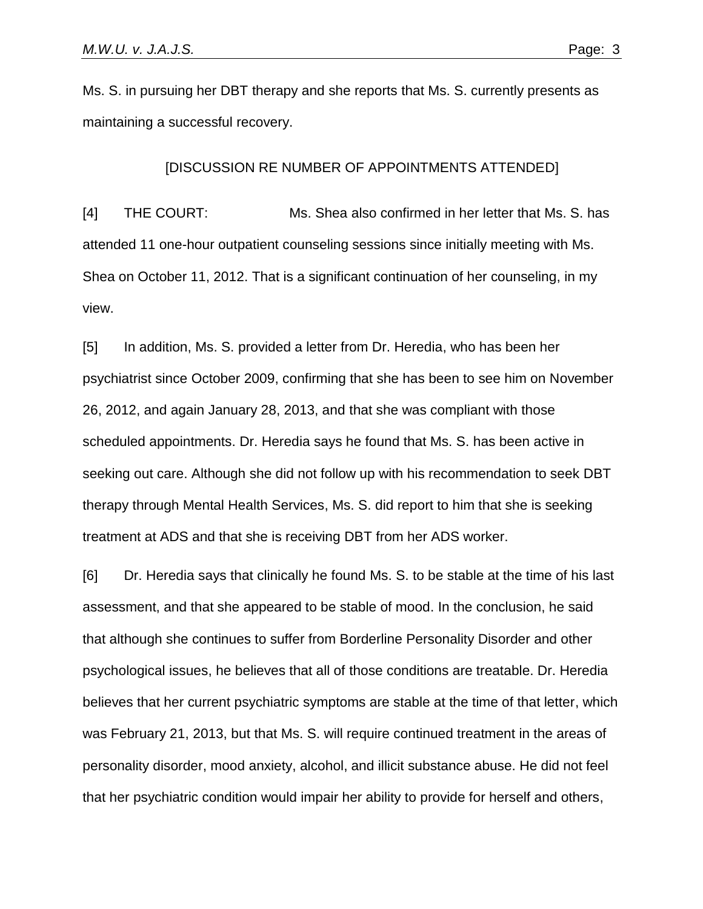Ms. S. in pursuing her DBT therapy and she reports that Ms. S. currently presents as maintaining a successful recovery.

## [DISCUSSION RE NUMBER OF APPOINTMENTS ATTENDED]

[4] THE COURT: Ms. Shea also confirmed in her letter that Ms. S. has attended 11 one-hour outpatient counseling sessions since initially meeting with Ms. Shea on October 11, 2012. That is a significant continuation of her counseling, in my view.

[5] In addition, Ms. S. provided a letter from Dr. Heredia, who has been her psychiatrist since October 2009, confirming that she has been to see him on November 26, 2012, and again January 28, 2013, and that she was compliant with those scheduled appointments. Dr. Heredia says he found that Ms. S. has been active in seeking out care. Although she did not follow up with his recommendation to seek DBT therapy through Mental Health Services, Ms. S. did report to him that she is seeking treatment at ADS and that she is receiving DBT from her ADS worker.

[6] Dr. Heredia says that clinically he found Ms. S. to be stable at the time of his last assessment, and that she appeared to be stable of mood. In the conclusion, he said that although she continues to suffer from Borderline Personality Disorder and other psychological issues, he believes that all of those conditions are treatable. Dr. Heredia believes that her current psychiatric symptoms are stable at the time of that letter, which was February 21, 2013, but that Ms. S. will require continued treatment in the areas of personality disorder, mood anxiety, alcohol, and illicit substance abuse. He did not feel that her psychiatric condition would impair her ability to provide for herself and others,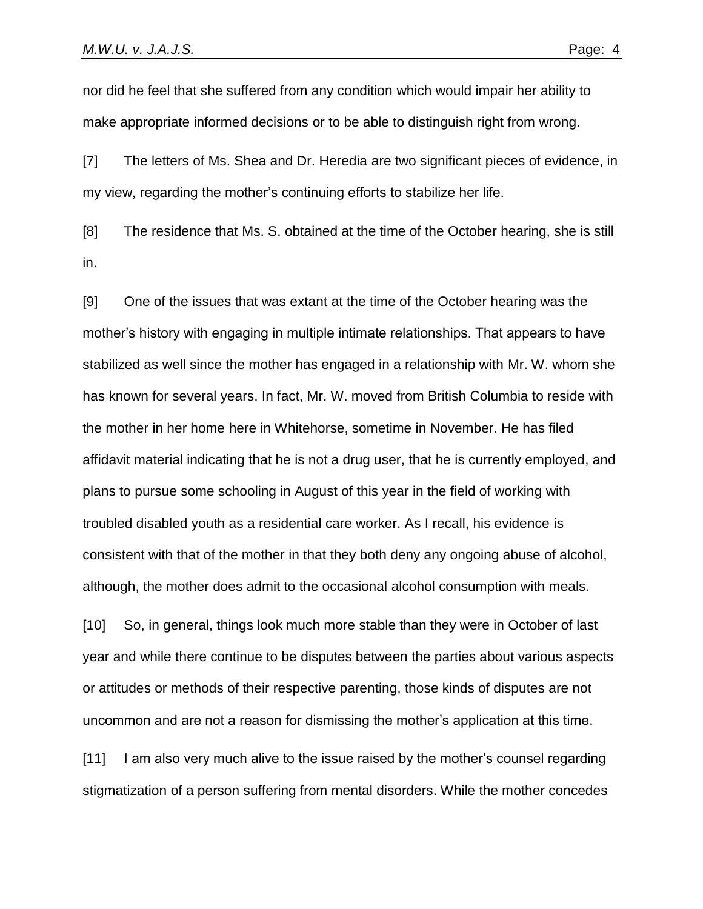nor did he feel that she suffered from any condition which would impair her ability to make appropriate informed decisions or to be able to distinguish right from wrong.

[7] The letters of Ms. Shea and Dr. Heredia are two significant pieces of evidence, in my view, regarding the mother's continuing efforts to stabilize her life.

[8] The residence that Ms. S. obtained at the time of the October hearing, she is still in.

[9] One of the issues that was extant at the time of the October hearing was the mother's history with engaging in multiple intimate relationships. That appears to have stabilized as well since the mother has engaged in a relationship with Mr. W. whom she has known for several years. In fact, Mr. W. moved from British Columbia to reside with the mother in her home here in Whitehorse, sometime in November. He has filed affidavit material indicating that he is not a drug user, that he is currently employed, and plans to pursue some schooling in August of this year in the field of working with troubled disabled youth as a residential care worker. As I recall, his evidence is consistent with that of the mother in that they both deny any ongoing abuse of alcohol, although, the mother does admit to the occasional alcohol consumption with meals.

[10] So, in general, things look much more stable than they were in October of last year and while there continue to be disputes between the parties about various aspects or attitudes or methods of their respective parenting, those kinds of disputes are not uncommon and are not a reason for dismissing the mother's application at this time.

[11] I am also very much alive to the issue raised by the mother's counsel regarding stigmatization of a person suffering from mental disorders. While the mother concedes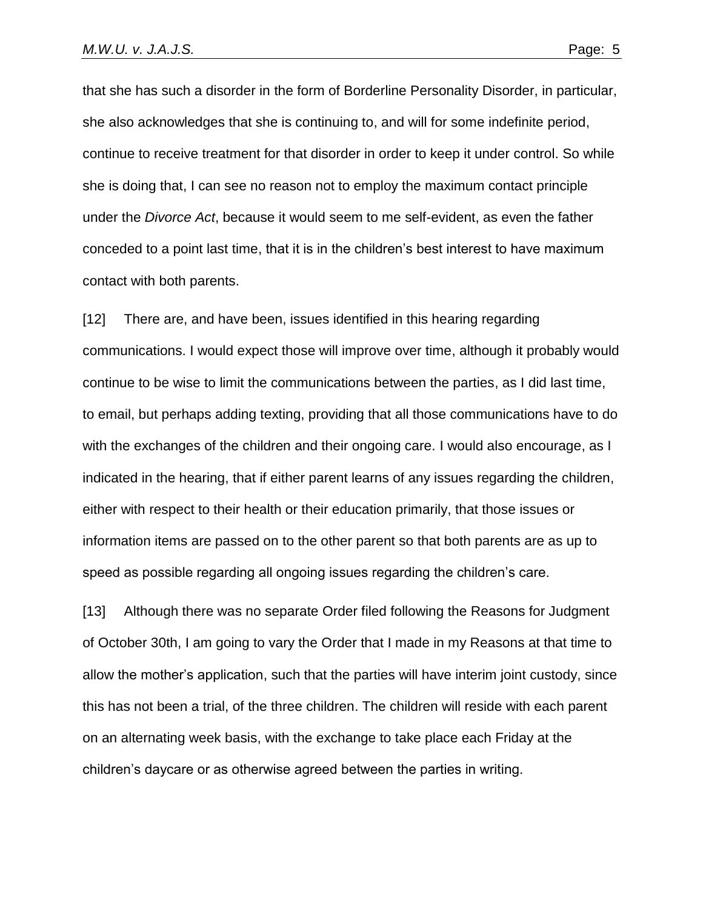that she has such a disorder in the form of Borderline Personality Disorder, in particular, she also acknowledges that she is continuing to, and will for some indefinite period, continue to receive treatment for that disorder in order to keep it under control. So while she is doing that, I can see no reason not to employ the maximum contact principle under the *Divorce Act*, because it would seem to me self-evident, as even the father conceded to a point last time, that it is in the children's best interest to have maximum contact with both parents.

[12] There are, and have been, issues identified in this hearing regarding communications. I would expect those will improve over time, although it probably would continue to be wise to limit the communications between the parties, as I did last time, to email, but perhaps adding texting, providing that all those communications have to do with the exchanges of the children and their ongoing care. I would also encourage, as I indicated in the hearing, that if either parent learns of any issues regarding the children, either with respect to their health or their education primarily, that those issues or information items are passed on to the other parent so that both parents are as up to speed as possible regarding all ongoing issues regarding the children's care.

[13] Although there was no separate Order filed following the Reasons for Judgment of October 30th, I am going to vary the Order that I made in my Reasons at that time to allow the mother's application, such that the parties will have interim joint custody, since this has not been a trial, of the three children. The children will reside with each parent on an alternating week basis, with the exchange to take place each Friday at the children's daycare or as otherwise agreed between the parties in writing.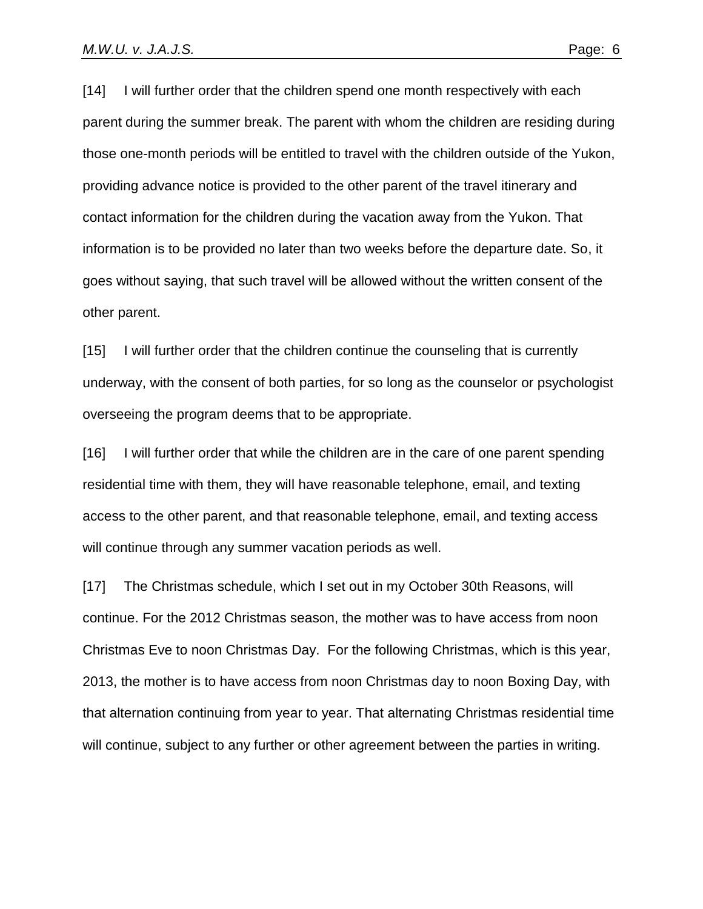[14] I will further order that the children spend one month respectively with each parent during the summer break. The parent with whom the children are residing during those one-month periods will be entitled to travel with the children outside of the Yukon, providing advance notice is provided to the other parent of the travel itinerary and contact information for the children during the vacation away from the Yukon. That information is to be provided no later than two weeks before the departure date. So, it goes without saying, that such travel will be allowed without the written consent of the other parent.

[15] I will further order that the children continue the counseling that is currently underway, with the consent of both parties, for so long as the counselor or psychologist overseeing the program deems that to be appropriate.

[16] I will further order that while the children are in the care of one parent spending residential time with them, they will have reasonable telephone, email, and texting access to the other parent, and that reasonable telephone, email, and texting access will continue through any summer vacation periods as well.

[17] The Christmas schedule, which I set out in my October 30th Reasons, will continue. For the 2012 Christmas season, the mother was to have access from noon Christmas Eve to noon Christmas Day. For the following Christmas, which is this year, 2013, the mother is to have access from noon Christmas day to noon Boxing Day, with that alternation continuing from year to year. That alternating Christmas residential time will continue, subject to any further or other agreement between the parties in writing.